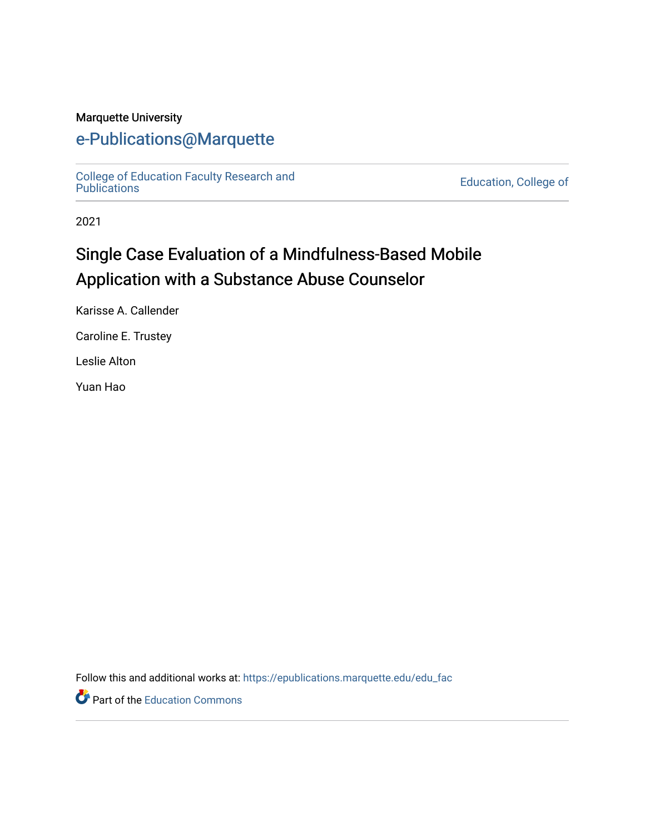#### Marquette University

## [e-Publications@Marquette](https://epublications.marquette.edu/)

[College of Education Faculty Research and](https://epublications.marquette.edu/edu_fac) 

Education, College of

2021

# Single Case Evaluation of a Mindfulness-Based Mobile Application with a Substance Abuse Counselor

Karisse A. Callender

Caroline E. Trustey

Leslie Alton

Yuan Hao

Follow this and additional works at: [https://epublications.marquette.edu/edu\\_fac](https://epublications.marquette.edu/edu_fac?utm_source=epublications.marquette.edu%2Fedu_fac%2F559&utm_medium=PDF&utm_campaign=PDFCoverPages) 

Part of the [Education Commons](http://network.bepress.com/hgg/discipline/784?utm_source=epublications.marquette.edu%2Fedu_fac%2F559&utm_medium=PDF&utm_campaign=PDFCoverPages)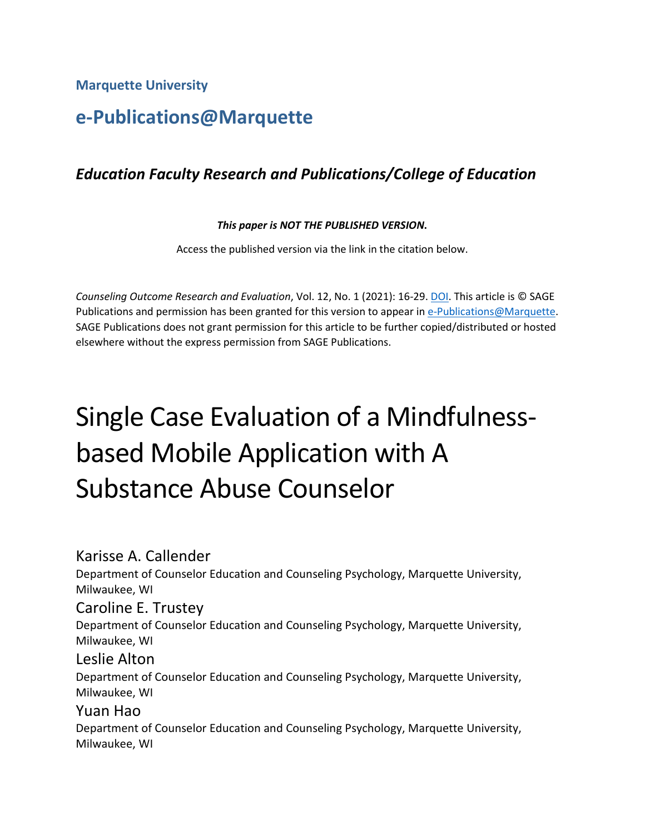**Marquette University**

# **e-Publications@Marquette**

## *Education Faculty Research and Publications/College of Education*

#### *This paper is NOT THE PUBLISHED VERSION***.**

Access the published version via the link in the citation below.

*Counseling Outcome Research and Evaluation*, Vol. 12, No. 1 (2021): 16-29. [DOI.](https://doi.org/10.1080/21501378.2019.1686353) This article is © SAGE Publications and permission has been granted for this version to appear in [e-Publications@Marquette.](http://epublications.marquette.edu/) SAGE Publications does not grant permission for this article to be further copied/distributed or hosted elsewhere without the express permission from SAGE Publications.

# Single Case Evaluation of a Mindfulnessbased Mobile Application with A Substance Abuse Counselor

## Karisse A. Callender

Department of Counselor Education and Counseling Psychology, Marquette University, Milwaukee, WI

## Caroline E. Trustey

Department of Counselor Education and Counseling Psychology, Marquette University, Milwaukee, WI

#### Leslie Alton

Department of Counselor Education and Counseling Psychology, Marquette University, Milwaukee, WI

## Yuan Hao

Department of Counselor Education and Counseling Psychology, Marquette University, Milwaukee, WI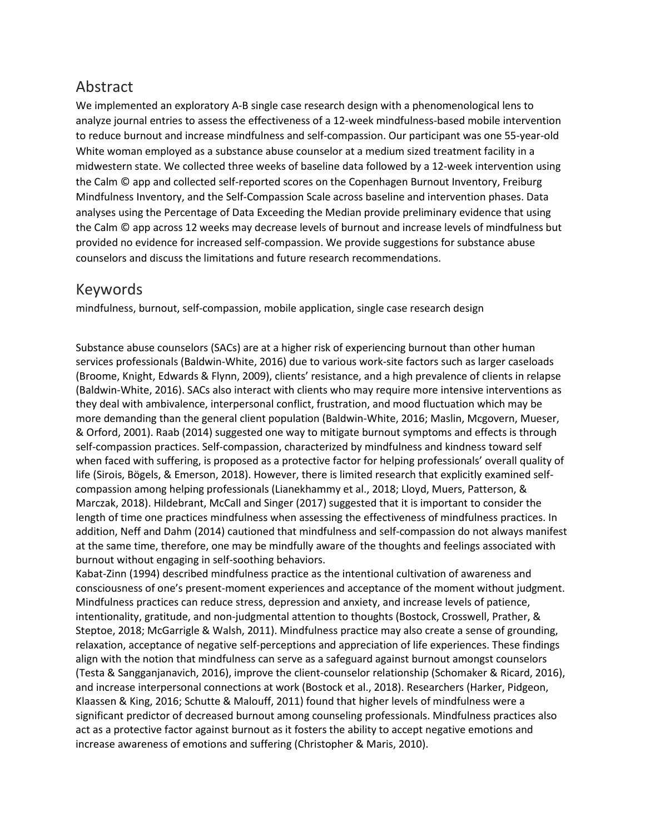## Abstract

We implemented an exploratory A-B single case research design with a phenomenological lens to analyze journal entries to assess the effectiveness of a 12-week mindfulness-based mobile intervention to reduce burnout and increase mindfulness and self-compassion. Our participant was one 55-year-old White woman employed as a substance abuse counselor at a medium sized treatment facility in a midwestern state. We collected three weeks of baseline data followed by a 12-week intervention using the Calm © app and collected self-reported scores on the Copenhagen Burnout Inventory, Freiburg Mindfulness Inventory, and the Self-Compassion Scale across baseline and intervention phases. Data analyses using the Percentage of Data Exceeding the Median provide preliminary evidence that using the Calm © app across 12 weeks may decrease levels of burnout and increase levels of mindfulness but provided no evidence for increased self-compassion. We provide suggestions for substance abuse counselors and discuss the limitations and future research recommendations.

## Keywords

mindfulness, burnout, self-compassion, mobile application, single case research design

Substance abuse counselors (SACs) are at a higher risk of experiencing burnout than other human services professionals (Baldwin-White, 2016) due to various work-site factors such as larger caseloads (Broome, Knight, Edwards & Flynn, 2009), clients' resistance, and a high prevalence of clients in relapse (Baldwin-White, 2016). SACs also interact with clients who may require more intensive interventions as they deal with ambivalence, interpersonal conflict, frustration, and mood fluctuation which may be more demanding than the general client population (Baldwin-White, 2016; Maslin, Mcgovern, Mueser, & Orford, 2001). Raab (2014) suggested one way to mitigate burnout symptoms and effects is through self-compassion practices. Self-compassion, characterized by mindfulness and kindness toward self when faced with suffering, is proposed as a protective factor for helping professionals' overall quality of life (Sirois, Bögels, & Emerson, 2018). However, there is limited research that explicitly examined selfcompassion among helping professionals (Lianekhammy et al., 2018; Lloyd, Muers, Patterson, & Marczak, 2018). Hildebrant, McCall and Singer (2017) suggested that it is important to consider the length of time one practices mindfulness when assessing the effectiveness of mindfulness practices. In addition, Neff and Dahm (2014) cautioned that mindfulness and self-compassion do not always manifest at the same time, therefore, one may be mindfully aware of the thoughts and feelings associated with burnout without engaging in self-soothing behaviors.

Kabat-Zinn (1994) described mindfulness practice as the intentional cultivation of awareness and consciousness of one's present-moment experiences and acceptance of the moment without judgment. Mindfulness practices can reduce stress, depression and anxiety, and increase levels of patience, intentionality, gratitude, and non-judgmental attention to thoughts (Bostock, Crosswell, Prather, & Steptoe, 2018; McGarrigle & Walsh, 2011). Mindfulness practice may also create a sense of grounding, relaxation, acceptance of negative self-perceptions and appreciation of life experiences. These findings align with the notion that mindfulness can serve as a safeguard against burnout amongst counselors (Testa & Sangganjanavich, 2016), improve the client-counselor relationship (Schomaker & Ricard, 2016), and increase interpersonal connections at work (Bostock et al., 2018). Researchers (Harker, Pidgeon, Klaassen & King, 2016; Schutte & Malouff, 2011) found that higher levels of mindfulness were a significant predictor of decreased burnout among counseling professionals. Mindfulness practices also act as a protective factor against burnout as it fosters the ability to accept negative emotions and increase awareness of emotions and suffering (Christopher & Maris, 2010).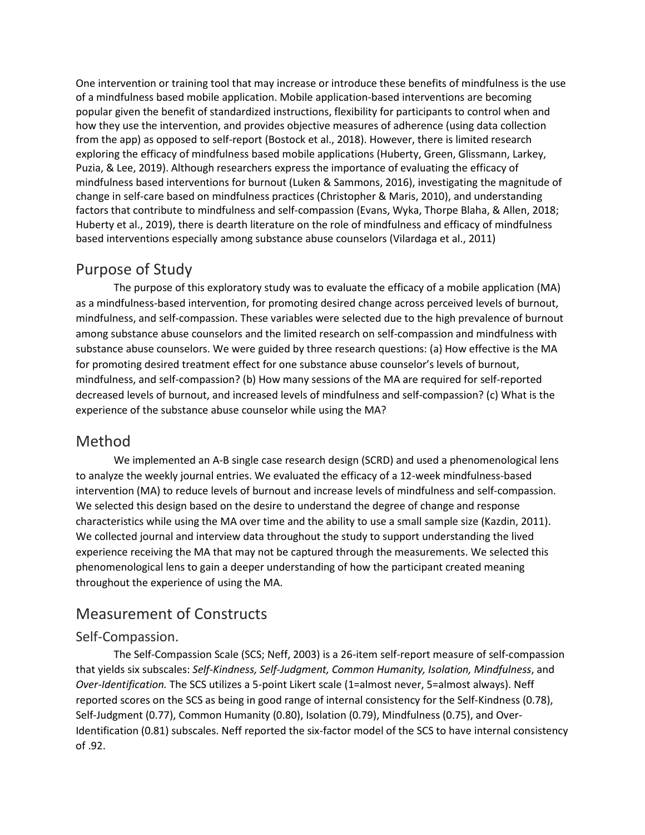One intervention or training tool that may increase or introduce these benefits of mindfulness is the use of a mindfulness based mobile application. Mobile application-based interventions are becoming popular given the benefit of standardized instructions, flexibility for participants to control when and how they use the intervention, and provides objective measures of adherence (using data collection from the app) as opposed to self-report (Bostock et al., 2018). However, there is limited research exploring the efficacy of mindfulness based mobile applications (Huberty, Green, Glissmann, Larkey, Puzia, & Lee, 2019). Although researchers express the importance of evaluating the efficacy of mindfulness based interventions for burnout (Luken & Sammons, 2016), investigating the magnitude of change in self-care based on mindfulness practices (Christopher & Maris, 2010), and understanding factors that contribute to mindfulness and self-compassion (Evans, Wyka, Thorpe Blaha, & Allen, 2018; Huberty et al., 2019), there is dearth literature on the role of mindfulness and efficacy of mindfulness based interventions especially among substance abuse counselors (Vilardaga et al., 2011)

## Purpose of Study

The purpose of this exploratory study was to evaluate the efficacy of a mobile application (MA) as a mindfulness-based intervention, for promoting desired change across perceived levels of burnout, mindfulness, and self-compassion. These variables were selected due to the high prevalence of burnout among substance abuse counselors and the limited research on self-compassion and mindfulness with substance abuse counselors. We were guided by three research questions: (a) How effective is the MA for promoting desired treatment effect for one substance abuse counselor's levels of burnout, mindfulness, and self-compassion? (b) How many sessions of the MA are required for self-reported decreased levels of burnout, and increased levels of mindfulness and self-compassion? (c) What is the experience of the substance abuse counselor while using the MA?

## Method

We implemented an A-B single case research design (SCRD) and used a phenomenological lens to analyze the weekly journal entries. We evaluated the efficacy of a 12-week mindfulness-based intervention (MA) to reduce levels of burnout and increase levels of mindfulness and self-compassion. We selected this design based on the desire to understand the degree of change and response characteristics while using the MA over time and the ability to use a small sample size (Kazdin, 2011). We collected journal and interview data throughout the study to support understanding the lived experience receiving the MA that may not be captured through the measurements. We selected this phenomenological lens to gain a deeper understanding of how the participant created meaning throughout the experience of using the MA.

## Measurement of Constructs

#### Self-Compassion.

The Self-Compassion Scale (SCS; Neff, 2003) is a 26-item self-report measure of self-compassion that yields six subscales: *Self-Kindness, Self-Judgment, Common Humanity, Isolation, Mindfulness*, and *Over-Identification.* The SCS utilizes a 5-point Likert scale (1=almost never, 5=almost always). Neff reported scores on the SCS as being in good range of internal consistency for the Self-Kindness (0.78), Self-Judgment (0.77), Common Humanity (0.80), Isolation (0.79), Mindfulness (0.75), and Over-Identification (0.81) subscales. Neff reported the six-factor model of the SCS to have internal consistency of .92.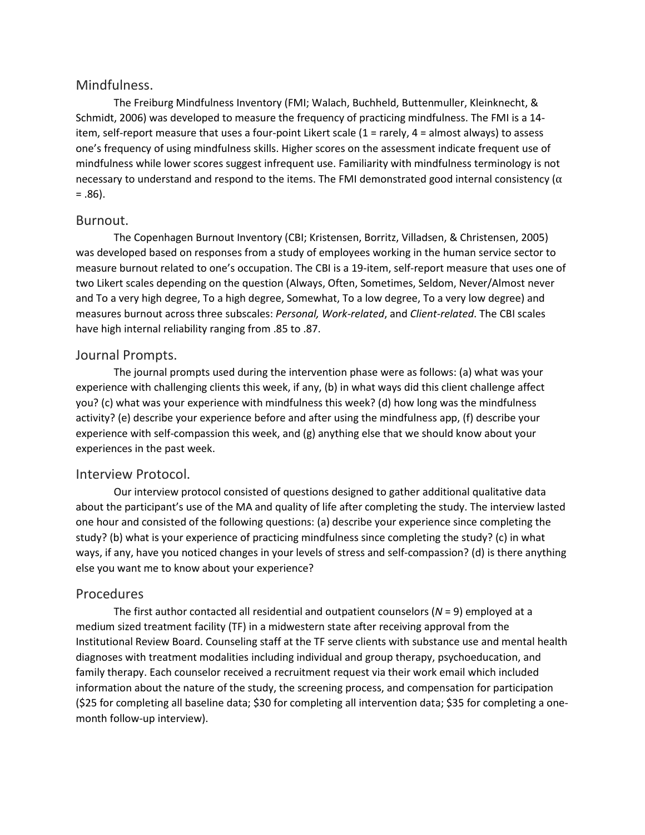#### Mindfulness.

The Freiburg Mindfulness Inventory (FMI; Walach, Buchheld, Buttenmuller, Kleinknecht, & Schmidt, 2006) was developed to measure the frequency of practicing mindfulness. The FMI is a 14 item, self-report measure that uses a four-point Likert scale (1 = rarely, 4 = almost always) to assess one's frequency of using mindfulness skills. Higher scores on the assessment indicate frequent use of mindfulness while lower scores suggest infrequent use. Familiarity with mindfulness terminology is not necessary to understand and respond to the items. The FMI demonstrated good internal consistency ( $\alpha$  $= .86$ ).

#### Burnout.

The Copenhagen Burnout Inventory (CBI; Kristensen, Borritz, Villadsen, & Christensen, 2005) was developed based on responses from a study of employees working in the human service sector to measure burnout related to one's occupation. The CBI is a 19-item, self-report measure that uses one of two Likert scales depending on the question (Always, Often, Sometimes, Seldom, Never/Almost never and To a very high degree, To a high degree, Somewhat, To a low degree, To a very low degree) and measures burnout across three subscales: *Personal, Work-related*, and *Client-related*. The CBI scales have high internal reliability ranging from .85 to .87.

#### Journal Prompts.

The journal prompts used during the intervention phase were as follows: (a) what was your experience with challenging clients this week, if any, (b) in what ways did this client challenge affect you? (c) what was your experience with mindfulness this week? (d) how long was the mindfulness activity? (e) describe your experience before and after using the mindfulness app, (f) describe your experience with self-compassion this week, and (g) anything else that we should know about your experiences in the past week.

#### Interview Protocol.

Our interview protocol consisted of questions designed to gather additional qualitative data about the participant's use of the MA and quality of life after completing the study. The interview lasted one hour and consisted of the following questions: (a) describe your experience since completing the study? (b) what is your experience of practicing mindfulness since completing the study? (c) in what ways, if any, have you noticed changes in your levels of stress and self-compassion? (d) is there anything else you want me to know about your experience?

#### Procedures

The first author contacted all residential and outpatient counselors (*N* = 9) employed at a medium sized treatment facility (TF) in a midwestern state after receiving approval from the Institutional Review Board. Counseling staff at the TF serve clients with substance use and mental health diagnoses with treatment modalities including individual and group therapy, psychoeducation, and family therapy. Each counselor received a recruitment request via their work email which included information about the nature of the study, the screening process, and compensation for participation (\$25 for completing all baseline data; \$30 for completing all intervention data; \$35 for completing a onemonth follow-up interview).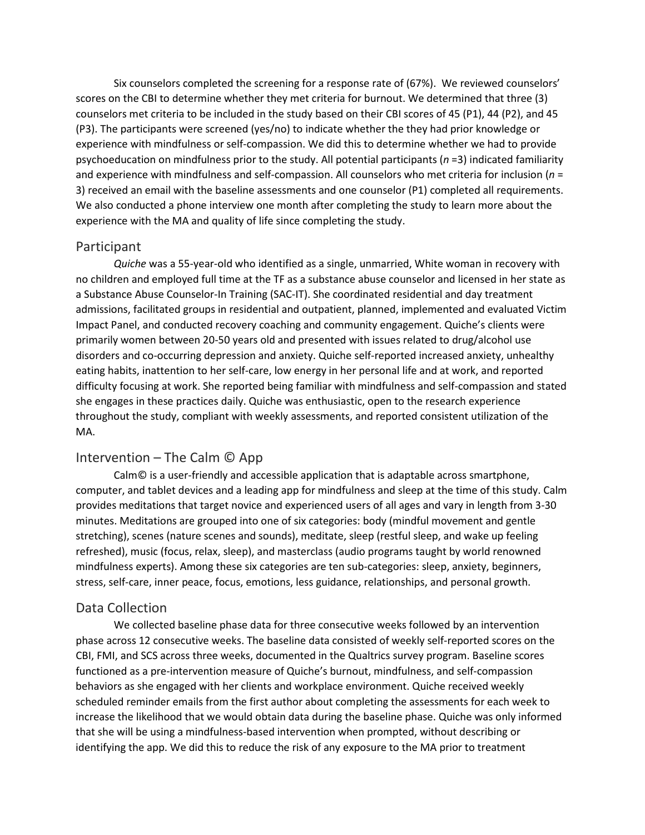Six counselors completed the screening for a response rate of (67%). We reviewed counselors' scores on the CBI to determine whether they met criteria for burnout. We determined that three (3) counselors met criteria to be included in the study based on their CBI scores of 45 (P1), 44 (P2), and 45 (P3). The participants were screened (yes/no) to indicate whether the they had prior knowledge or experience with mindfulness or self-compassion. We did this to determine whether we had to provide psychoeducation on mindfulness prior to the study. All potential participants (*n* =3) indicated familiarity and experience with mindfulness and self-compassion. All counselors who met criteria for inclusion (*n* = 3) received an email with the baseline assessments and one counselor (P1) completed all requirements. We also conducted a phone interview one month after completing the study to learn more about the experience with the MA and quality of life since completing the study.

#### Participant

*Quiche* was a 55-year-old who identified as a single, unmarried, White woman in recovery with no children and employed full time at the TF as a substance abuse counselor and licensed in her state as a Substance Abuse Counselor-In Training (SAC-IT). She coordinated residential and day treatment admissions, facilitated groups in residential and outpatient, planned, implemented and evaluated Victim Impact Panel, and conducted recovery coaching and community engagement. Quiche's clients were primarily women between 20-50 years old and presented with issues related to drug/alcohol use disorders and co-occurring depression and anxiety. Quiche self-reported increased anxiety, unhealthy eating habits, inattention to her self-care, low energy in her personal life and at work, and reported difficulty focusing at work. She reported being familiar with mindfulness and self-compassion and stated she engages in these practices daily. Quiche was enthusiastic, open to the research experience throughout the study, compliant with weekly assessments, and reported consistent utilization of the MA.

#### Intervention – The Calm © App

Calm© is a user-friendly and accessible application that is adaptable across smartphone, computer, and tablet devices and a leading app for mindfulness and sleep at the time of this study. Calm provides meditations that target novice and experienced users of all ages and vary in length from 3-30 minutes. Meditations are grouped into one of six categories: body (mindful movement and gentle stretching), scenes (nature scenes and sounds), meditate, sleep (restful sleep, and wake up feeling refreshed), music (focus, relax, sleep), and masterclass (audio programs taught by world renowned mindfulness experts). Among these six categories are ten sub-categories: sleep, anxiety, beginners, stress, self-care, inner peace, focus, emotions, less guidance, relationships, and personal growth.

#### Data Collection

We collected baseline phase data for three consecutive weeks followed by an intervention phase across 12 consecutive weeks. The baseline data consisted of weekly self-reported scores on the CBI, FMI, and SCS across three weeks, documented in the Qualtrics survey program. Baseline scores functioned as a pre-intervention measure of Quiche's burnout, mindfulness, and self-compassion behaviors as she engaged with her clients and workplace environment. Quiche received weekly scheduled reminder emails from the first author about completing the assessments for each week to increase the likelihood that we would obtain data during the baseline phase. Quiche was only informed that she will be using a mindfulness-based intervention when prompted, without describing or identifying the app. We did this to reduce the risk of any exposure to the MA prior to treatment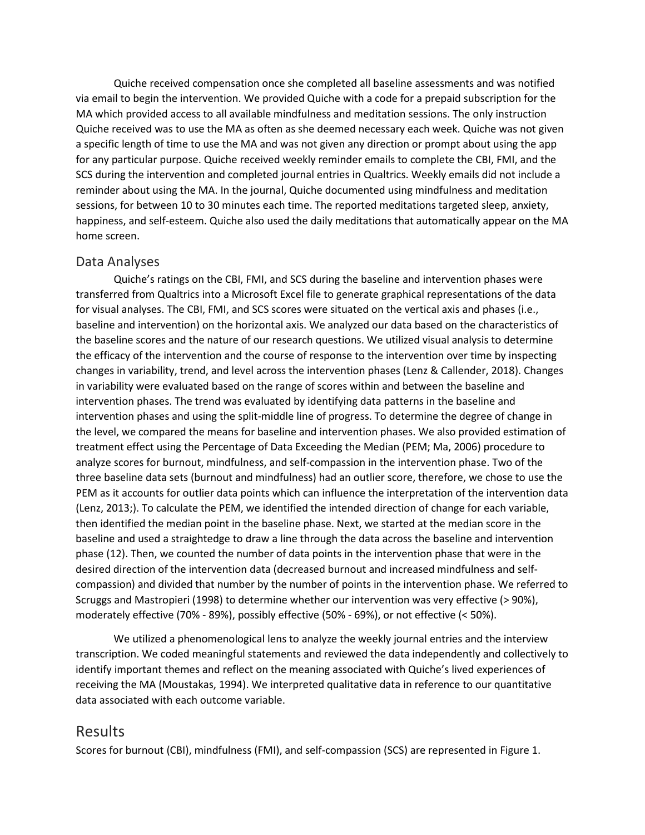Quiche received compensation once she completed all baseline assessments and was notified via email to begin the intervention. We provided Quiche with a code for a prepaid subscription for the MA which provided access to all available mindfulness and meditation sessions. The only instruction Quiche received was to use the MA as often as she deemed necessary each week. Quiche was not given a specific length of time to use the MA and was not given any direction or prompt about using the app for any particular purpose. Quiche received weekly reminder emails to complete the CBI, FMI, and the SCS during the intervention and completed journal entries in Qualtrics. Weekly emails did not include a reminder about using the MA. In the journal, Quiche documented using mindfulness and meditation sessions, for between 10 to 30 minutes each time. The reported meditations targeted sleep, anxiety, happiness, and self-esteem. Quiche also used the daily meditations that automatically appear on the MA home screen.

#### Data Analyses

Quiche's ratings on the CBI, FMI, and SCS during the baseline and intervention phases were transferred from Qualtrics into a Microsoft Excel file to generate graphical representations of the data for visual analyses. The CBI, FMI, and SCS scores were situated on the vertical axis and phases (i.e., baseline and intervention) on the horizontal axis. We analyzed our data based on the characteristics of the baseline scores and the nature of our research questions. We utilized visual analysis to determine the efficacy of the intervention and the course of response to the intervention over time by inspecting changes in variability, trend, and level across the intervention phases (Lenz & Callender, 2018). Changes in variability were evaluated based on the range of scores within and between the baseline and intervention phases. The trend was evaluated by identifying data patterns in the baseline and intervention phases and using the split-middle line of progress. To determine the degree of change in the level, we compared the means for baseline and intervention phases. We also provided estimation of treatment effect using the Percentage of Data Exceeding the Median (PEM; Ma, 2006) procedure to analyze scores for burnout, mindfulness, and self-compassion in the intervention phase. Two of the three baseline data sets (burnout and mindfulness) had an outlier score, therefore, we chose to use the PEM as it accounts for outlier data points which can influence the interpretation of the intervention data (Lenz, 2013;). To calculate the PEM, we identified the intended direction of change for each variable, then identified the median point in the baseline phase. Next, we started at the median score in the baseline and used a straightedge to draw a line through the data across the baseline and intervention phase (12). Then, we counted the number of data points in the intervention phase that were in the desired direction of the intervention data (decreased burnout and increased mindfulness and selfcompassion) and divided that number by the number of points in the intervention phase. We referred to Scruggs and Mastropieri (1998) to determine whether our intervention was very effective (> 90%), moderately effective (70% - 89%), possibly effective (50% - 69%), or not effective (< 50%).

We utilized a phenomenological lens to analyze the weekly journal entries and the interview transcription. We coded meaningful statements and reviewed the data independently and collectively to identify important themes and reflect on the meaning associated with Quiche's lived experiences of receiving the MA (Moustakas, 1994). We interpreted qualitative data in reference to our quantitative data associated with each outcome variable.

#### Results

Scores for burnout (CBI), mindfulness (FMI), and self-compassion (SCS) are represented in Figure 1.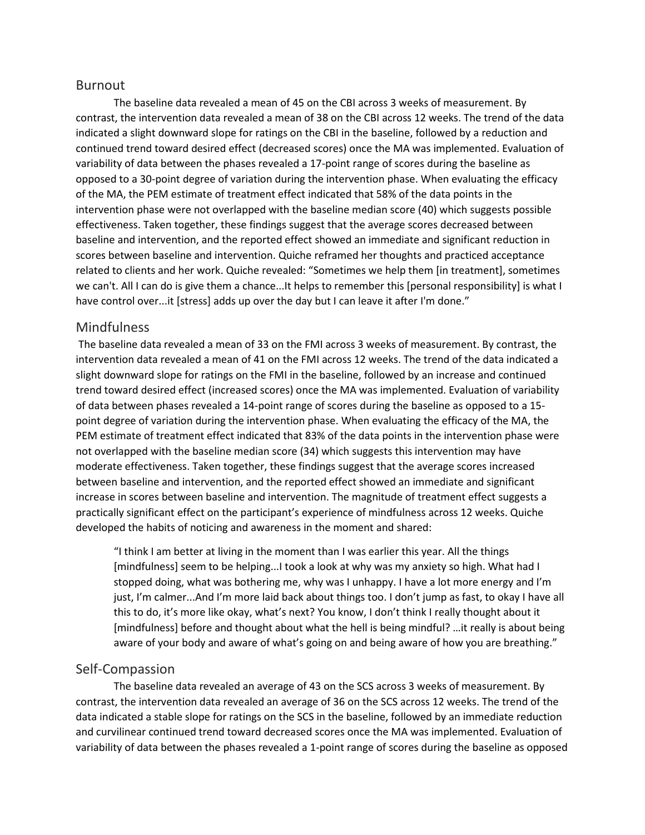#### Burnout

The baseline data revealed a mean of 45 on the CBI across 3 weeks of measurement. By contrast, the intervention data revealed a mean of 38 on the CBI across 12 weeks. The trend of the data indicated a slight downward slope for ratings on the CBI in the baseline, followed by a reduction and continued trend toward desired effect (decreased scores) once the MA was implemented. Evaluation of variability of data between the phases revealed a 17-point range of scores during the baseline as opposed to a 30-point degree of variation during the intervention phase. When evaluating the efficacy of the MA, the PEM estimate of treatment effect indicated that 58% of the data points in the intervention phase were not overlapped with the baseline median score (40) which suggests possible effectiveness. Taken together, these findings suggest that the average scores decreased between baseline and intervention, and the reported effect showed an immediate and significant reduction in scores between baseline and intervention. Quiche reframed her thoughts and practiced acceptance related to clients and her work. Quiche revealed: "Sometimes we help them [in treatment], sometimes we can't. All I can do is give them a chance...It helps to remember this [personal responsibility] is what I have control over...it [stress] adds up over the day but I can leave it after I'm done."

#### Mindfulness

The baseline data revealed a mean of 33 on the FMI across 3 weeks of measurement. By contrast, the intervention data revealed a mean of 41 on the FMI across 12 weeks. The trend of the data indicated a slight downward slope for ratings on the FMI in the baseline, followed by an increase and continued trend toward desired effect (increased scores) once the MA was implemented. Evaluation of variability of data between phases revealed a 14-point range of scores during the baseline as opposed to a 15 point degree of variation during the intervention phase. When evaluating the efficacy of the MA, the PEM estimate of treatment effect indicated that 83% of the data points in the intervention phase were not overlapped with the baseline median score (34) which suggests this intervention may have moderate effectiveness. Taken together, these findings suggest that the average scores increased between baseline and intervention, and the reported effect showed an immediate and significant increase in scores between baseline and intervention. The magnitude of treatment effect suggests a practically significant effect on the participant's experience of mindfulness across 12 weeks. Quiche developed the habits of noticing and awareness in the moment and shared:

"I think I am better at living in the moment than I was earlier this year. All the things [mindfulness] seem to be helping...I took a look at why was my anxiety so high. What had I stopped doing, what was bothering me, why was I unhappy. I have a lot more energy and I'm just, I'm calmer...And I'm more laid back about things too. I don't jump as fast, to okay I have all this to do, it's more like okay, what's next? You know, I don't think I really thought about it [mindfulness] before and thought about what the hell is being mindful? …it really is about being aware of your body and aware of what's going on and being aware of how you are breathing."

#### Self-Compassion

The baseline data revealed an average of 43 on the SCS across 3 weeks of measurement. By contrast, the intervention data revealed an average of 36 on the SCS across 12 weeks. The trend of the data indicated a stable slope for ratings on the SCS in the baseline, followed by an immediate reduction and curvilinear continued trend toward decreased scores once the MA was implemented. Evaluation of variability of data between the phases revealed a 1-point range of scores during the baseline as opposed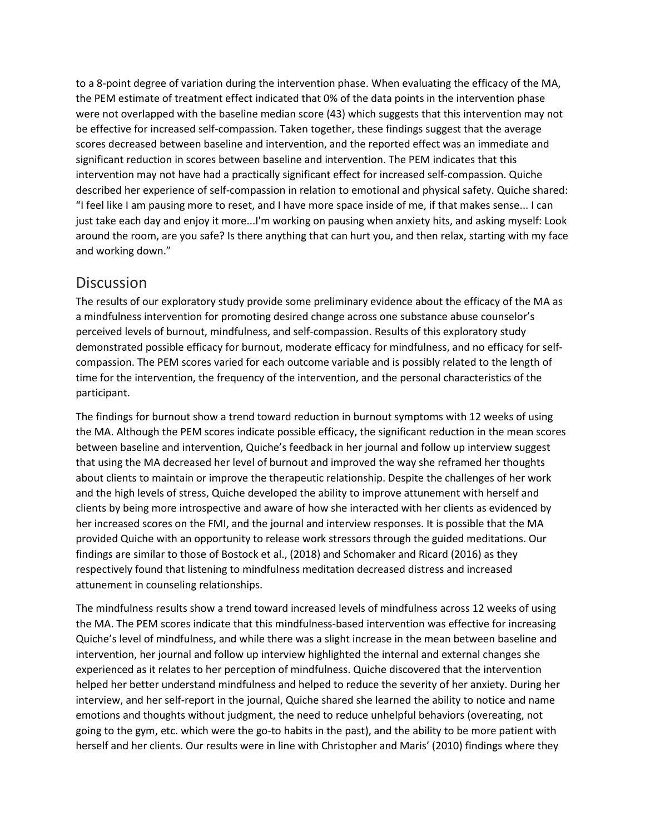to a 8-point degree of variation during the intervention phase. When evaluating the efficacy of the MA, the PEM estimate of treatment effect indicated that 0% of the data points in the intervention phase were not overlapped with the baseline median score (43) which suggests that this intervention may not be effective for increased self-compassion. Taken together, these findings suggest that the average scores decreased between baseline and intervention, and the reported effect was an immediate and significant reduction in scores between baseline and intervention. The PEM indicates that this intervention may not have had a practically significant effect for increased self-compassion. Quiche described her experience of self-compassion in relation to emotional and physical safety. Quiche shared: "I feel like I am pausing more to reset, and I have more space inside of me, if that makes sense... I can just take each day and enjoy it more...I'm working on pausing when anxiety hits, and asking myself: Look around the room, are you safe? Is there anything that can hurt you, and then relax, starting with my face and working down."

## **Discussion**

The results of our exploratory study provide some preliminary evidence about the efficacy of the MA as a mindfulness intervention for promoting desired change across one substance abuse counselor's perceived levels of burnout, mindfulness, and self-compassion. Results of this exploratory study demonstrated possible efficacy for burnout, moderate efficacy for mindfulness, and no efficacy for selfcompassion. The PEM scores varied for each outcome variable and is possibly related to the length of time for the intervention, the frequency of the intervention, and the personal characteristics of the participant.

The findings for burnout show a trend toward reduction in burnout symptoms with 12 weeks of using the MA. Although the PEM scores indicate possible efficacy, the significant reduction in the mean scores between baseline and intervention, Quiche's feedback in her journal and follow up interview suggest that using the MA decreased her level of burnout and improved the way she reframed her thoughts about clients to maintain or improve the therapeutic relationship. Despite the challenges of her work and the high levels of stress, Quiche developed the ability to improve attunement with herself and clients by being more introspective and aware of how she interacted with her clients as evidenced by her increased scores on the FMI, and the journal and interview responses. It is possible that the MA provided Quiche with an opportunity to release work stressors through the guided meditations. Our findings are similar to those of Bostock et al., (2018) and Schomaker and Ricard (2016) as they respectively found that listening to mindfulness meditation decreased distress and increased attunement in counseling relationships.

The mindfulness results show a trend toward increased levels of mindfulness across 12 weeks of using the MA. The PEM scores indicate that this mindfulness-based intervention was effective for increasing Quiche's level of mindfulness, and while there was a slight increase in the mean between baseline and intervention, her journal and follow up interview highlighted the internal and external changes she experienced as it relates to her perception of mindfulness. Quiche discovered that the intervention helped her better understand mindfulness and helped to reduce the severity of her anxiety. During her interview, and her self-report in the journal, Quiche shared she learned the ability to notice and name emotions and thoughts without judgment, the need to reduce unhelpful behaviors (overeating, not going to the gym, etc. which were the go-to habits in the past), and the ability to be more patient with herself and her clients. Our results were in line with Christopher and Maris' (2010) findings where they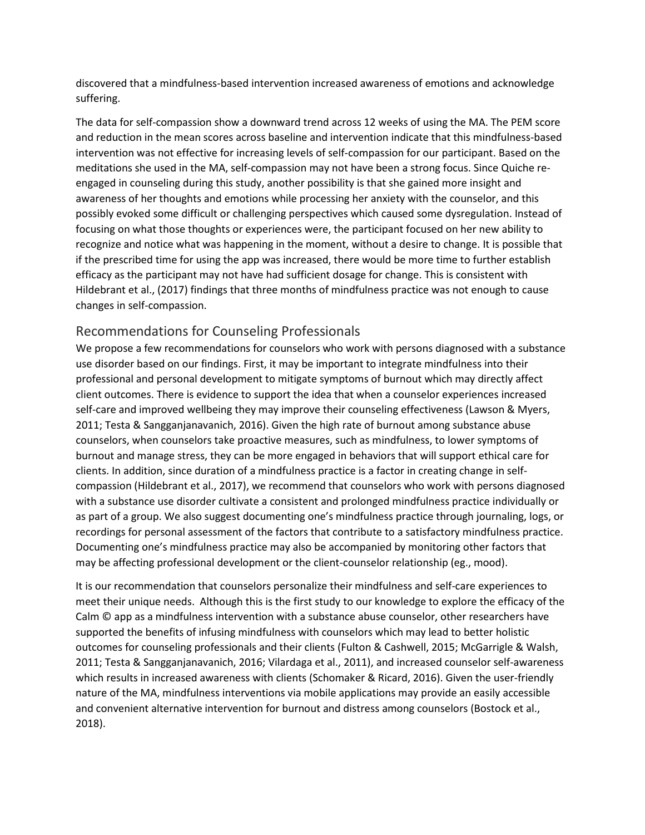discovered that a mindfulness-based intervention increased awareness of emotions and acknowledge suffering.

The data for self-compassion show a downward trend across 12 weeks of using the MA. The PEM score and reduction in the mean scores across baseline and intervention indicate that this mindfulness-based intervention was not effective for increasing levels of self-compassion for our participant. Based on the meditations she used in the MA, self-compassion may not have been a strong focus. Since Quiche reengaged in counseling during this study, another possibility is that she gained more insight and awareness of her thoughts and emotions while processing her anxiety with the counselor, and this possibly evoked some difficult or challenging perspectives which caused some dysregulation. Instead of focusing on what those thoughts or experiences were, the participant focused on her new ability to recognize and notice what was happening in the moment, without a desire to change. It is possible that if the prescribed time for using the app was increased, there would be more time to further establish efficacy as the participant may not have had sufficient dosage for change. This is consistent with Hildebrant et al., (2017) findings that three months of mindfulness practice was not enough to cause changes in self-compassion.

#### Recommendations for Counseling Professionals

We propose a few recommendations for counselors who work with persons diagnosed with a substance use disorder based on our findings. First, it may be important to integrate mindfulness into their professional and personal development to mitigate symptoms of burnout which may directly affect client outcomes. There is evidence to support the idea that when a counselor experiences increased self-care and improved wellbeing they may improve their counseling effectiveness (Lawson & Myers, 2011; Testa & Sangganjanavanich, 2016). Given the high rate of burnout among substance abuse counselors, when counselors take proactive measures, such as mindfulness, to lower symptoms of burnout and manage stress, they can be more engaged in behaviors that will support ethical care for clients. In addition, since duration of a mindfulness practice is a factor in creating change in selfcompassion (Hildebrant et al., 2017), we recommend that counselors who work with persons diagnosed with a substance use disorder cultivate a consistent and prolonged mindfulness practice individually or as part of a group. We also suggest documenting one's mindfulness practice through journaling, logs, or recordings for personal assessment of the factors that contribute to a satisfactory mindfulness practice. Documenting one's mindfulness practice may also be accompanied by monitoring other factors that may be affecting professional development or the client-counselor relationship (eg., mood).

It is our recommendation that counselors personalize their mindfulness and self-care experiences to meet their unique needs. Although this is the first study to our knowledge to explore the efficacy of the Calm © app as a mindfulness intervention with a substance abuse counselor, other researchers have supported the benefits of infusing mindfulness with counselors which may lead to better holistic outcomes for counseling professionals and their clients (Fulton & Cashwell, 2015; McGarrigle & Walsh, 2011; Testa & Sangganjanavanich, 2016; Vilardaga et al., 2011), and increased counselor self-awareness which results in increased awareness with clients (Schomaker & Ricard, 2016). Given the user-friendly nature of the MA, mindfulness interventions via mobile applications may provide an easily accessible and convenient alternative intervention for burnout and distress among counselors (Bostock et al., 2018).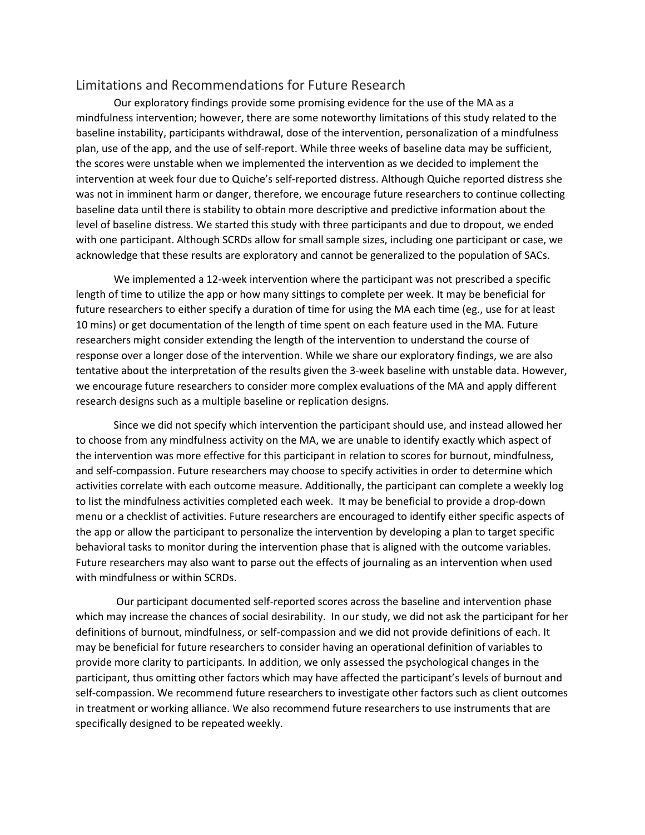#### Limitations and Recommendations for Future Research

Our exploratory findings provide some promising evidence for the use of the MA as a mindfulness intervention; however, there are some noteworthy limitations of this study related to the baseline instability, participants withdrawal, dose of the intervention, personalization of a mindfulness plan, use of the app, and the use of self-report. While three weeks of baseline data may be sufficient, the scores were unstable when we implemented the intervention as we decided to implement the intervention at week four due to Quiche's self-reported distress. Although Quiche reported distress she was not in imminent harm or danger, therefore, we encourage future researchers to continue collecting baseline data until there is stability to obtain more descriptive and predictive information about the level of baseline distress. We started this study with three participants and due to dropout, we ended with one participant. Although SCRDs allow for small sample sizes, including one participant or case, we acknowledge that these results are exploratory and cannot be generalized to the population of SACs.

We implemented a 12-week intervention where the participant was not prescribed a specific length of time to utilize the app or how many sittings to complete per week. It may be beneficial for future researchers to either specify a duration of time for using the MA each time (eg., use for at least 10 mins) or get documentation of the length of time spent on each feature used in the MA. Future researchers might consider extending the length of the intervention to understand the course of response over a longer dose of the intervention. While we share our exploratory findings, we are also tentative about the interpretation of the results given the 3-week baseline with unstable data. However, we encourage future researchers to consider more complex evaluations of the MA and apply different research designs such as a multiple baseline or replication designs.

Since we did not specify which intervention the participant should use, and instead allowed her to choose from any mindfulness activity on the MA, we are unable to identify exactly which aspect of the intervention was more effective for this participant in relation to scores for burnout, mindfulness, and self-compassion. Future researchers may choose to specify activities in order to determine which activities correlate with each outcome measure. Additionally, the participant can complete a weekly log to list the mindfulness activities completed each week. It may be beneficial to provide a drop-down menu or a checklist of activities. Future researchers are encouraged to identify either specific aspects of the app or allow the participant to personalize the intervention by developing a plan to target specific behavioral tasks to monitor during the intervention phase that is aligned with the outcome variables. Future researchers may also want to parse out the effects of journaling as an intervention when used with mindfulness or within SCRDs.

Our participant documented self-reported scores across the baseline and intervention phase which may increase the chances of social desirability. In our study, we did not ask the participant for her definitions of burnout, mindfulness, or self-compassion and we did not provide definitions of each. It may be beneficial for future researchers to consider having an operational definition of variables to provide more clarity to participants. In addition, we only assessed the psychological changes in the participant, thus omitting other factors which may have affected the participant's levels of burnout and self-compassion. We recommend future researchers to investigate other factors such as client outcomes in treatment or working alliance. We also recommend future researchers to use instruments that are specifically designed to be repeated weekly.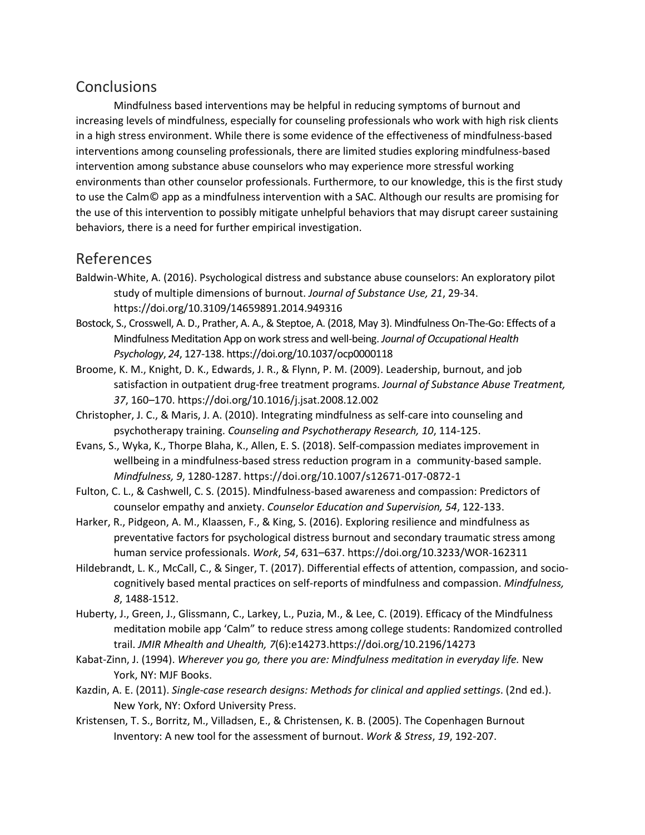## **Conclusions**

Mindfulness based interventions may be helpful in reducing symptoms of burnout and increasing levels of mindfulness, especially for counseling professionals who work with high risk clients in a high stress environment. While there is some evidence of the effectiveness of mindfulness-based interventions among counseling professionals, there are limited studies exploring mindfulness-based intervention among substance abuse counselors who may experience more stressful working environments than other counselor professionals. Furthermore, to our knowledge, this is the first study to use the Calm© app as a mindfulness intervention with a SAC. Although our results are promising for the use of this intervention to possibly mitigate unhelpful behaviors that may disrupt career sustaining behaviors, there is a need for further empirical investigation.

## References

- Baldwin-White, A. (2016). Psychological distress and substance abuse counselors: An exploratory pilot study of multiple dimensions of burnout. *Journal of Substance Use, 21*, 29-34. https://doi.org/10.3109/14659891.2014.949316
- Bostock, S., Crosswell, A. D., Prather, A. A., & Steptoe, A. (2018, May 3). Mindfulness On-The-Go: Effects of a Mindfulness Meditation App on work stress and well-being. *Journal of Occupational Health Psychology*, *24*, 127-138. https://doi.org/10.1037/ocp0000118
- Broome, K. M., Knight, D. K., Edwards, J. R., & Flynn, P. M. (2009). Leadership, burnout, and job satisfaction in outpatient drug-free treatment programs. *Journal of Substance Abuse Treatment, 37*, 160–170. https://doi.org/10.1016/j.jsat.2008.12.002
- Christopher, J. C., & Maris, J. A. (2010). Integrating mindfulness as self-care into counseling and psychotherapy training. *Counseling and Psychotherapy Research, 10*, 114-125.
- Evans, S., Wyka, K., Thorpe Blaha, K., Allen, E. S. (2018). Self-compassion mediates improvement in wellbeing in a mindfulness-based stress reduction program in a community-based sample. *Mindfulness, 9*, 1280-1287. https://doi.org/10.1007/s12671-017-0872-1
- Fulton, C. L., & Cashwell, C. S. (2015). Mindfulness-based awareness and compassion: Predictors of counselor empathy and anxiety. *Counselor Education and Supervision, 54*, 122-133.
- Harker, R., Pidgeon, A. M., Klaassen, F., & King, S. (2016). Exploring resilience and mindfulness as preventative factors for psychological distress burnout and secondary traumatic stress among human service professionals. *Work*, *54*, 631–637. https://doi.org/10.3233/WOR-162311
- Hildebrandt, L. K., McCall, C., & Singer, T. (2017). Differential effects of attention, compassion, and sociocognitively based mental practices on self-reports of mindfulness and compassion. *Mindfulness, 8*, 1488-1512.
- Huberty, J., Green, J., Glissmann, C., Larkey, L., Puzia, M., & Lee, C. (2019). Efficacy of the Mindfulness meditation mobile app 'Calm" to reduce stress among college students: Randomized controlled trail. *JMIR Mhealth and Uhealth, 7*(6):e14273.https://doi.org/10.2196/14273
- Kabat-Zinn, J. (1994). *Wherever you go, there you are: Mindfulness meditation in everyday life.* New York, NY: MJF Books.
- Kazdin, A. E. (2011). *Single-case research designs: Methods for clinical and applied settings*. (2nd ed.). New York, NY: Oxford University Press.
- Kristensen, T. S., Borritz, M., Villadsen, E., & Christensen, K. B. (2005). The Copenhagen Burnout Inventory: A new tool for the assessment of burnout. *Work & Stress*, *19*, 192-207.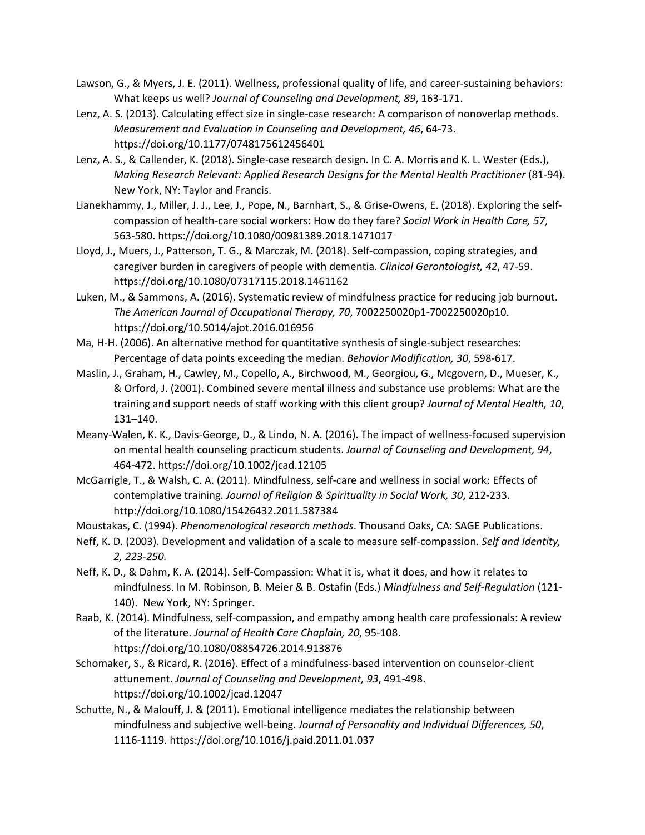- Lawson, G., & Myers, J. E. (2011). Wellness, professional quality of life, and career-sustaining behaviors: What keeps us well? *Journal of Counseling and Development, 89*, 163-171.
- Lenz, A. S. (2013). Calculating effect size in single-case research: A comparison of nonoverlap methods. *Measurement and Evaluation in Counseling and Development, 46*, 64-73. https://doi.org/10.1177/0748175612456401
- Lenz, A. S., & Callender, K. (2018). Single-case research design. In C. A. Morris and K. L. Wester (Eds.), *Making Research Relevant: Applied Research Designs for the Mental Health Practitioner* (81-94). New York, NY: Taylor and Francis.
- Lianekhammy, J., Miller, J. J., Lee, J., Pope, N., Barnhart, S., & Grise-Owens, E. (2018). Exploring the selfcompassion of health-care social workers: How do they fare? *Social Work in Health Care, 57*, 563-580. https://doi.org/10.1080/00981389.2018.1471017
- Lloyd, J., Muers, J., Patterson, T. G., & Marczak, M. (2018). Self-compassion, coping strategies, and caregiver burden in caregivers of people with dementia. *Clinical Gerontologist, 42*, 47-59. <https://doi.org/10.1080/07317115.2018.1461162>
- Luken, M., & Sammons, A. (2016). Systematic review of mindfulness practice for reducing job burnout. *The American Journal of Occupational Therapy, 70*, 7002250020p1-7002250020p10. https://doi.org/10.5014/ajot.2016.016956
- Ma, H-H. (2006). An alternative method for quantitative synthesis of single-subject researches: Percentage of data points exceeding the median. *Behavior Modification, 30*, 598-617.
- Maslin, J., Graham, H., Cawley, M., Copello, A., Birchwood, M., Georgiou, G., Mcgovern, D., Mueser, K., & Orford, J. (2001). Combined severe mental illness and substance use problems: What are the training and support needs of staff working with this client group? *Journal of Mental Health, 10*, 131–140.
- Meany-Walen, K. K., Davis-George, D., & Lindo, N. A. (2016). The impact of wellness-focused supervision on mental health counseling practicum students. *Journal of Counseling and Development, 94*, 464-472. https://doi.org/10.1002/jcad.12105
- McGarrigle, T., & Walsh, C. A. (2011). Mindfulness, self-care and wellness in social work: Effects of contemplative training. *Journal of Religion & Spirituality in Social Work, 30*, 212-233. http://doi.org/10.1080/15426432.2011.587384
- Moustakas, C. (1994). *Phenomenological research methods*. Thousand Oaks, CA: SAGE Publications.
- Neff, K. D. (2003). Development and validation of a scale to measure self-compassion. *Self and Identity, 2, 223-250.*
- Neff, K. D., & Dahm, K. A. (2014). Self-Compassion: What it is, what it does, and how it relates to mindfulness. In M. Robinson, B. Meier & B. Ostafin (Eds.) *Mindfulness and Self-Regulation* (121- 140). New York, NY: Springer.
- Raab, K. (2014). Mindfulness, self-compassion, and empathy among health care professionals: A review of the literature. *Journal of Health Care Chaplain, 20*, 95-108. https://doi.org/10.1080/08854726.2014.913876
- Schomaker, S., & Ricard, R. (2016). Effect of a mindfulness-based intervention on counselor-client attunement. *Journal of Counseling and Development, 93*, 491-498. https://doi.org/10.1002/jcad.12047
- Schutte, N., & Malouff, J. & (2011). Emotional intelligence mediates the relationship between mindfulness and subjective well-being. *Journal of Personality and Individual Differences, 50*, 1116-1119. https://doi.org/10.1016/j.paid.2011.01.037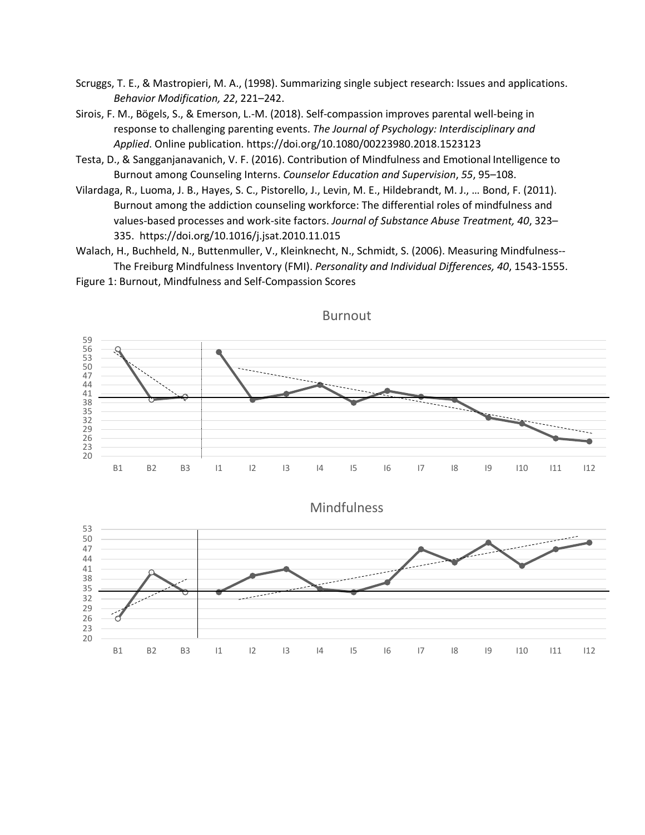- Scruggs, T. E., & Mastropieri, M. A., (1998). Summarizing single subject research: Issues and applications. *Behavior Modification, 22*, 221–242.
- Sirois, F. M., Bögels, S., & Emerson, L.-M. (2018). Self-compassion improves parental well-being in response to challenging parenting events. *The Journal of Psychology: Interdisciplinary and Applied*. Online publication. https://doi.org/10.1080/00223980.2018.1523123
- Testa, D., & Sangganjanavanich, V. F. (2016). Contribution of Mindfulness and Emotional Intelligence to Burnout among Counseling Interns. *Counselor Education and Supervision*, *55*, 95–108.
- Vilardaga, R., Luoma, J. B., Hayes, S. C., Pistorello, J., Levin, M. E., Hildebrandt, M. J., … Bond, F. (2011). Burnout among the addiction counseling workforce: The differential roles of mindfulness and values-based processes and work-site factors. *Journal of Substance Abuse Treatment, 40*, 323– [.](https://0-doi-org.libus.csd.mu.edu/10.1016/j.jsat.2010.11.015) [https://doi.org/10.1016/j.jsat.2010.11.015](https://dx.doi.org/10.1016/j.jsat.2010.11.015)
- Walach, H., Buchheld, N., Buttenmuller, V., Kleinknecht, N., Schmidt, S. (2006). Measuring Mindfulness-- The Freiburg Mindfulness Inventory (FMI). *Personality and Individual Differences, 40*, 1543-1555.





Burnout

Mindfulness